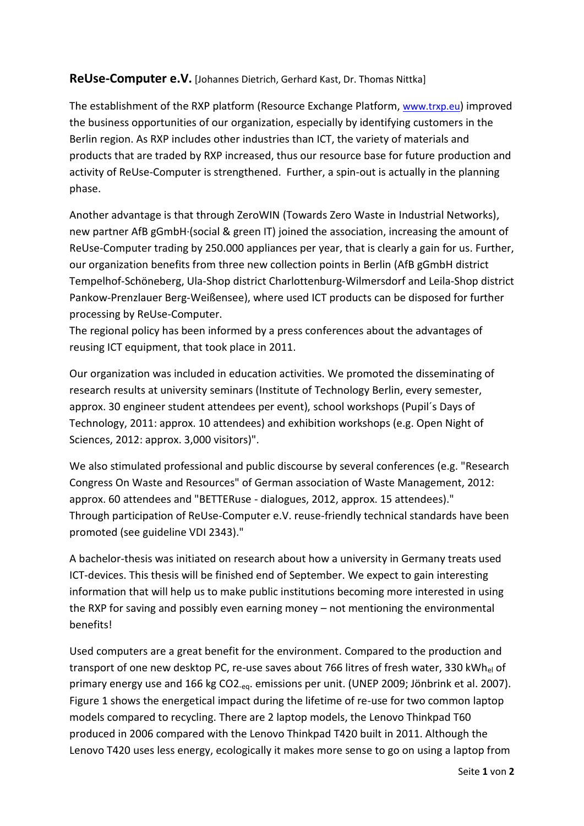## **ReUse-Computer e.V.** [Johannes Dietrich, Gerhard Kast, Dr. Thomas Nittka]

The establishment of the RXP platform (Resource Exchange Platform, [www.trxp.eu](http://www.trxp.eu/)) improved the business opportunities of our organization, especially by identifying customers in the Berlin region. As RXP includes other industries than ICT, the variety of materials and products that are traded by RXP increased, thus our resource base for future production and activity of ReUse-Computer is strengthened. Further, a spin-out is actually in the planning phase.

Another advantage is that through ZeroWIN (Towards Zero Waste in Industrial Networks), new partner AfB gGmbH·(social & green IT) joined the association, increasing the amount of ReUse-Computer trading by 250.000 appliances per year, that is clearly a gain for us. Further, our organization benefits from three new collection points in Berlin (AfB gGmbH district Tempelhof-Schöneberg, Ula-Shop district Charlottenburg-Wilmersdorf and Leila-Shop district Pankow-Prenzlauer Berg-Weißensee), where used ICT products can be disposed for further processing by ReUse-Computer.

The regional policy has been informed by a press conferences about the advantages of reusing ICT equipment, that took place in 2011.

Our organization was included in education activities. We promoted the disseminating of research results at university seminars (Institute of Technology Berlin, every semester, approx. 30 engineer student attendees per event), school workshops (Pupil´s Days of Technology, 2011: approx. 10 attendees) and exhibition workshops (e.g. Open Night of Sciences, 2012: approx. 3,000 visitors)".

We also stimulated professional and public discourse by several conferences (e.g. "Research Congress On Waste and Resources" of German association of Waste Management, 2012: approx. 60 attendees and "BETTERuse - dialogues, 2012, approx. 15 attendees)." Through participation of ReUse-Computer e.V. reuse-friendly technical standards have been promoted (see guideline VDI 2343)."

A bachelor-thesis was initiated on research about how a university in Germany treats used ICT-devices. This thesis will be finished end of September. We expect to gain interesting information that will help us to make public institutions becoming more interested in using the RXP for saving and possibly even earning money – not mentioning the environmental benefits!

Used computers are a great benefit for the environment. Compared to the production and transport of one new desktop PC, re-use saves about 766 litres of fresh water, 330 kWh<sub>el</sub> of primary energy use and 166 kg CO2<sub>-eq</sub>. emissions per unit. (UNEP 2009; Jönbrink et al. 2007). Figure 1 shows the energetical impact during the lifetime of re-use for two common laptop models compared to recycling. There are 2 laptop models, the Lenovo Thinkpad T60 produced in 2006 compared with the Lenovo Thinkpad T420 built in 2011. Although the Lenovo T420 uses less energy, ecologically it makes more sense to go on using a laptop from